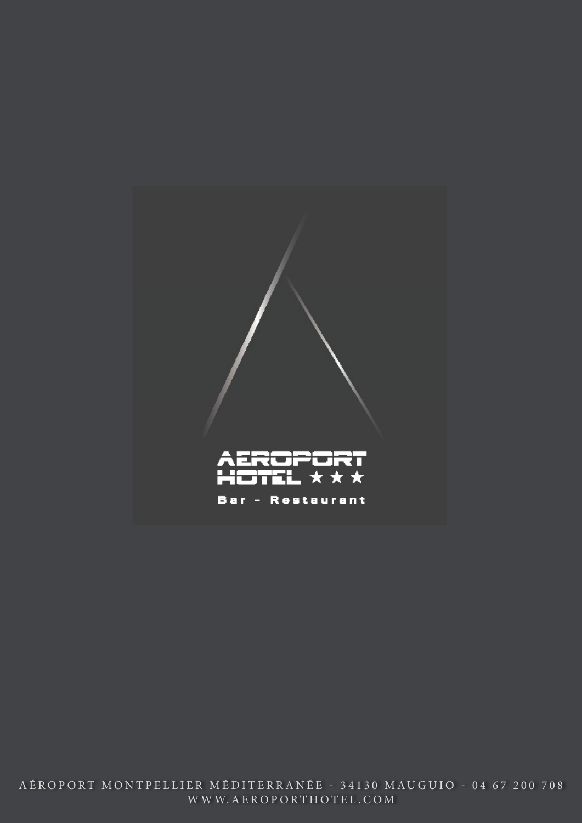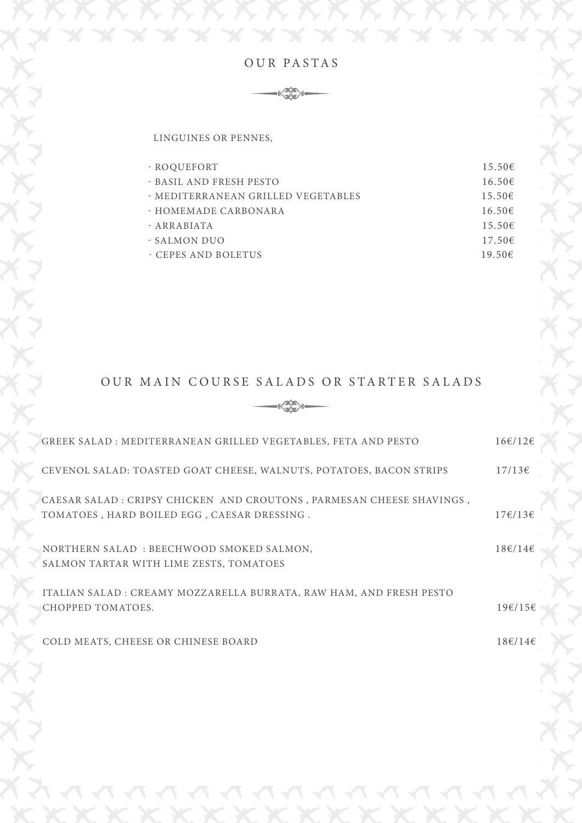



LINGUINES OR PENNES,

| - ROOUEFORT                        | 15.50E      |
|------------------------------------|-------------|
| - BASIL AND FRESH PESTO            | 16.50E      |
| - MEDITERRANEAN GRILLED VEGETABLES | $15.50 \in$ |
| - HOMEMADE CARBONARA               | 16.50E      |
| - ARRABIATA                        | $15.50 \in$ |
| - SALMON DUO                       | $17.50 \in$ |
| - CEPES AND BOLETUS                | 19.50€      |

# OUR MAIN COURSE SALADS OR STARTER SALADS



| GREEK SALAD: MEDITERRANEAN GRILLED VEGETABLES, FETA AND PESTO                                                        | $16 \in 712 \in$        |
|----------------------------------------------------------------------------------------------------------------------|-------------------------|
| CEVENOL SALAD: TOASTED GOAT CHEESE, WALNUTS, POTATOES, BACON STRIPS                                                  | 17/136                  |
| CAESAR SALAD : CRIPSY CHICKEN AND CROUTONS, PARMESAN CHEESE SHAVINGS,<br>TOMATOES, HARD BOILED EGG, CAESAR DRESSING. | $17\epsilon/13\epsilon$ |
| NORTHERN SALAD: BEECHWOOD SMOKED SALMON,<br>SALMON TARTAR WITH LIME ZESTS, TOMATOES                                  | $18\epsilon/14\epsilon$ |
| ITALIAN SALAD : CREAMY MOZZARELLA BURRATA, RAW HAM, AND FRESH PESTO<br>CHOPPED TOMATOES.                             | 19€/15€                 |
| COLD MEATS, CHEESE OR CHINESE BOARD                                                                                  | $18\epsilon/14\epsilon$ |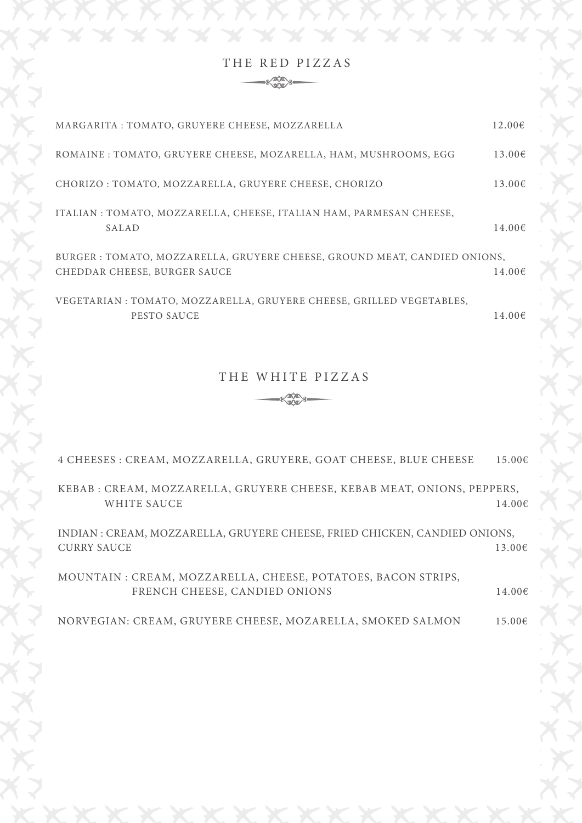THE RED PIZZAS  $-\xi_{\text{QCD}}^{\text{min}}$ 

| MARGARITA : TOMATO, GRUYERE CHEESE, MOZZARELLA                                                           | $12.00 \in$ |
|----------------------------------------------------------------------------------------------------------|-------------|
| ROMAINE : TOMATO, GRUYERE CHEESE, MOZARELLA, HAM, MUSHROOMS, EGG                                         | 13.00€      |
| CHORIZO : TOMATO, MOZZARELLA, GRUYERE CHEESE, CHORIZO                                                    | 13.006      |
| ITALIAN : TOMATO, MOZZARELLA, CHEESE, ITALIAN HAM, PARMESAN CHEESE,<br>SALAD                             | 14.00€      |
| BURGER: TOMATO, MOZZARELLA, GRUYERE CHEESE, GROUND MEAT, CANDIED ONIONS,<br>CHEDDAR CHEESE, BURGER SAUCE | 14.00E      |
| VEGETARIAN : TOMATO, MOZZARELLA, GRUYERE CHEESE, GRILLED VEGETABLES,<br>PESTO SAUCE                      | $14.00 \in$ |
| THE WHITE PIZZAS                                                                                         |             |
| 4 CHEESES : CREAM, MOZZARELLA, GRUYERE, GOAT CHEESE, BLUE CHEESE                                         | $15.00 \in$ |
| KEBAB : CREAM, MOZZARELLA, GRUYERE CHEESE, KEBAB MEAT, ONIONS, PEPPERS,<br><b>WHITE SAUCE</b>            | 14.006      |
| INDIAN : CREAM, MOZZARELLA, GRUYERE CHEESE, FRIED CHICKEN, CANDIED ONIONS,<br><b>CURRY SAUCE</b>         | 13.00€      |
| MOUNTAIN: CREAM, MOZZARELLA, CHEESE, POTATOES, BACON STRIPS,<br>FRENCH CHEESE, CANDIED ONIONS            | $14.00 \in$ |
|                                                                                                          |             |

NORVEGIAN: CREAM, GRUYERE CHEESE, MOZARELLA, SMOKED SALMON  $15.006$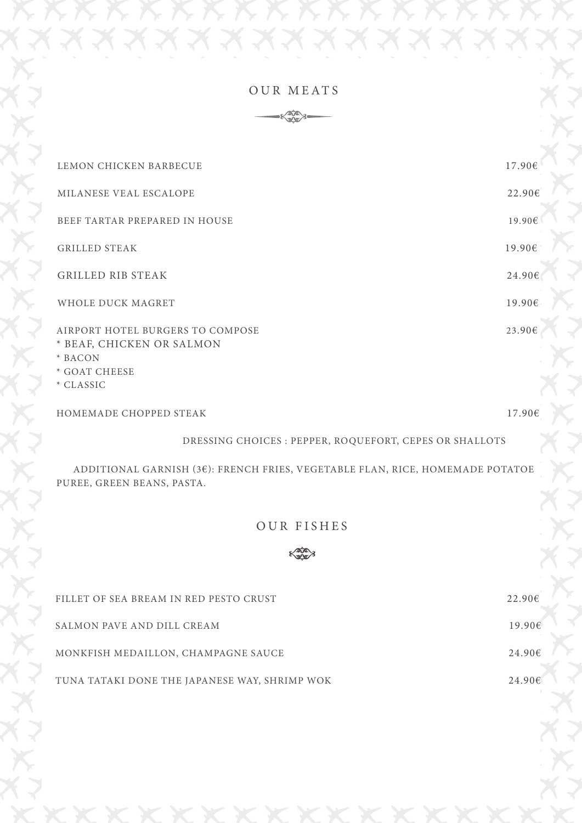### OUR MEATS



| LEMON CHICKEN BARBECUE                                                                                 | $17.90 \text{ } \in \}$  |
|--------------------------------------------------------------------------------------------------------|--------------------------|
| MILANESE VEAL ESCALOPE                                                                                 | 22.90E                   |
| BEEF TARTAR PREPARED IN HOUSE                                                                          | 19.90€                   |
| <b>GRILLED STEAK</b>                                                                                   | $19.90 \text{ }^{\circ}$ |
| <b>GRILLED RIB STEAK</b>                                                                               | 24.90€                   |
| WHOLE DUCK MAGRET                                                                                      | 19.90E                   |
| AIRPORT HOTEL BURGERS TO COMPOSE<br>* BEAF, CHICKEN OR SALMON<br>* BACON<br>* GOAT CHEESE<br>* CLASSIC | 23.90€                   |
| HOMEMADE CHOPPED STEAK                                                                                 | 17.90€                   |

DRESSING CHOICES : PEPPER, ROQUEFORT, CEPES OR SHALLOTS

 ADDITIONAL GARNISH (3€): FRENCH FRIES, VEGETABLE FLAN, RICE, HOMEMADE POTATOE PUREE, GREEN BEANS, PASTA.

## OUR FISHES



| FILLET OF SEA BREAM IN RED PESTO CRUST        | 22.90E            |
|-----------------------------------------------|-------------------|
| SALMON PAVE AND DILL CREAM                    | $19.90 \text{ }e$ |
| MONKFISH MEDAILLON, CHAMPAGNE SAUCE           | 24.90E            |
| TUNA TATAKI DONE THE JAPANESE WAY, SHRIMP WOK | 24.90E            |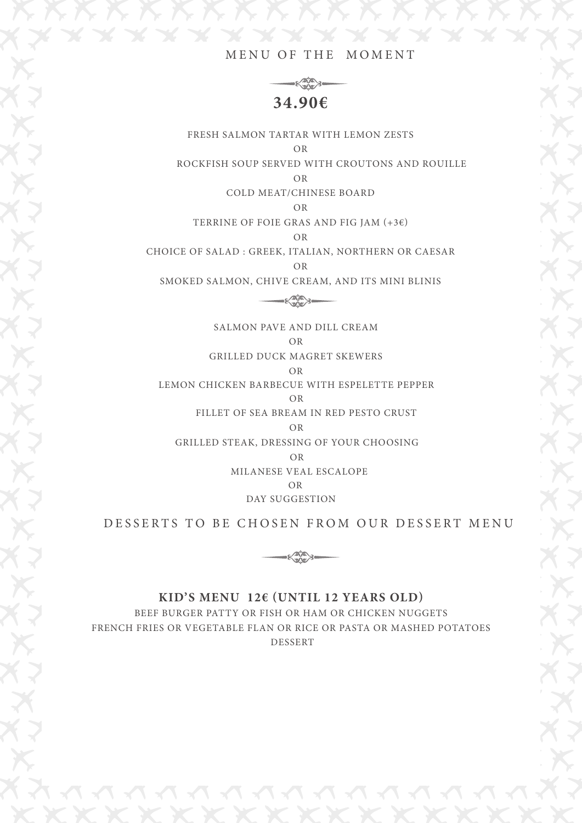#### MENU OF THE MOMENT



FRESH SALMON TARTAR WITH LEMON ZESTS OR ROCKFISH SOUP SERVED WITH CROUTONS AND ROUILLE

OR

COLD MEAT/CHINESE BOARD

OR

TERRINE OF FOIE GRAS AND FIG JAM  $(+3)$ 

OR

CHOICE OF SALAD : GREEK, ITALIAN, NORTHERN OR CAESAR OR

SMOKED SALMON, CHIVE CREAM, AND ITS MINI BLINIS

 $-\xi_{\text{avg}}^{\text{size}}$ 

SALMON PAVE AND DILL CREAM OR

GRILLED DUCK MAGRET SKEWERS

OR

LEMON CHICKEN BARBECUE WITH ESPELETTE PEPPER OR

FILLET OF SEA BREAM IN RED PESTO CRUST

OR

GRILLED STEAK, DRESSING OF YOUR CHOOSING

OR

MILANESE VEAL ESCALOPE

OR

DAY SUGGESTION

DESSERTS TO BE CHOSEN FROM OUR DESSERT MENU



#### **KID'S MENU 12€ (UNTIL 12 YEARS OLD)**

BEEF BURGER PATTY OR FISH OR HAM OR CHICKEN NUGGETS FRENCH FRIES OR VEGETABLE FLAN OR RICE OR PASTA OR MASHED POTATOES DESSERT